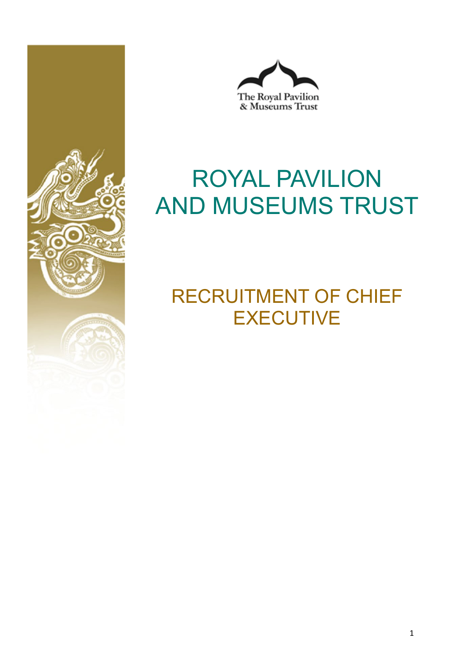



# ROYAL PAVILION AND MUSEUMS TRUST

## RECRUITMENT OF CHIEF **EXECUTIVE**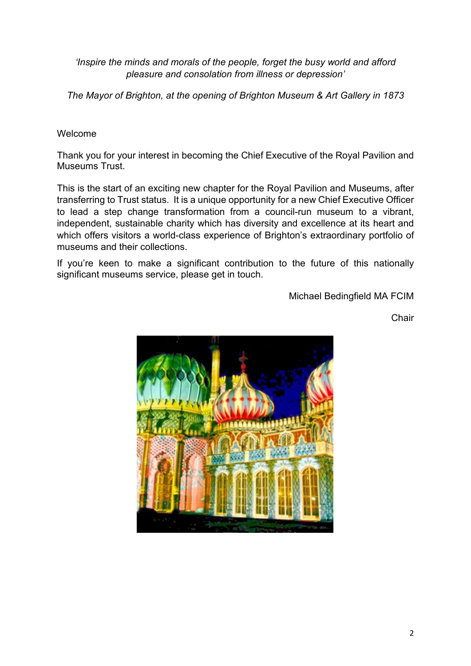*'Inspire the minds and morals of the people, forget the busy world and afford pleasure and consolation from illness or depression'*

*The Mayor of Brighton, at the opening of Brighton Museum & Art Gallery in 1873*

#### Welcome

Thank you for your interest in becoming the Chief Executive of the Royal Pavilion and Museums Trust.

This is the start of an exciting new chapter for the Royal Pavilion and Museums, after transferring to Trust status. It is a unique opportunity for a new Chief Executive Officer to lead a step change transformation from a council-run museum to a vibrant, independent, sustainable charity which has diversity and excellence at its heart and which offers visitors a world-class experience of Brighton's extraordinary portfolio of museums and their collections.

If you're keen to make a significant contribution to the future of this nationally significant museums service, please get in touch.

Michael Bedingfield MA FCIM

**Chair** 

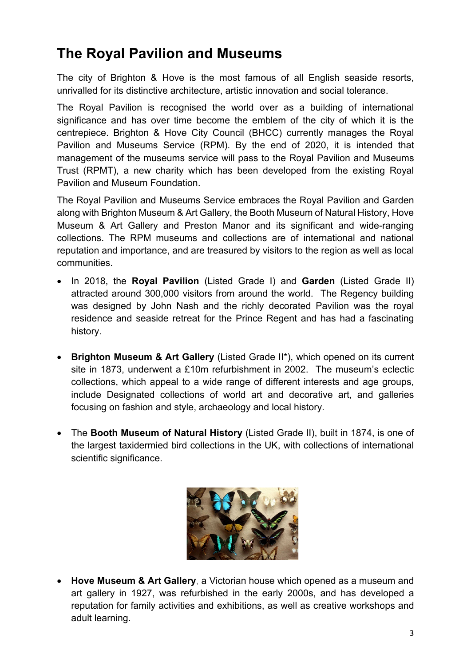### **The Royal Pavilion and Museums**

The city of Brighton & Hove is the most famous of all English seaside resorts, unrivalled for its distinctive architecture, artistic innovation and social tolerance.

The Royal Pavilion is recognised the world over as a building of international significance and has over time become the emblem of the city of which it is the centrepiece. Brighton & Hove City Council (BHCC) currently manages the Royal Pavilion and Museums Service (RPM). By the end of 2020, it is intended that management of the museums service will pass to the Royal Pavilion and Museums Trust (RPMT), a new charity which has been developed from the existing Royal Pavilion and Museum Foundation.

The Royal Pavilion and Museums Service embraces the Royal Pavilion and Garden along with Brighton Museum & Art Gallery, the Booth Museum of Natural History, Hove Museum & Art Gallery and Preston Manor and its significant and wide-ranging collections. The RPM museums and collections are of international and national reputation and importance, and are treasured by visitors to the region as well as local communities.

- In 2018, the **Royal Pavilion** (Listed Grade I) and **Garden** (Listed Grade II) attracted around 300,000 visitors from around the world. The Regency building was designed by John Nash and the richly decorated Pavilion was the royal residence and seaside retreat for the Prince Regent and has had a fascinating history.
- **Brighton Museum & Art Gallery** (Listed Grade II\*), which opened on its current site in 1873, underwent a £10m refurbishment in 2002. The museum's eclectic collections, which appeal to a wide range of different interests and age groups, include Designated collections of world art and decorative art, and galleries focusing on fashion and style, archaeology and local history.
- The **Booth Museum of Natural History** (Listed Grade II), built in 1874, is one of the largest taxidermied bird collections in the UK, with collections of international scientific significance.



• **Hove Museum & Art Gallery**, a Victorian house which opened as a museum and art gallery in 1927, was refurbished in the early 2000s, and has developed a reputation for family activities and exhibitions, as well as creative workshops and adult learning.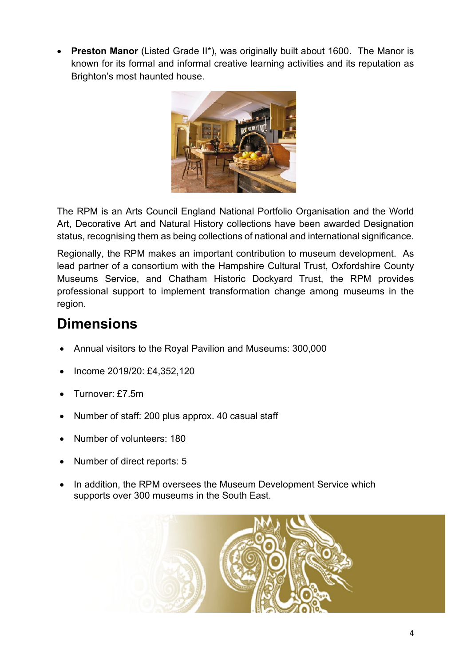**Preston Manor** (Listed Grade II\*), was originally built about 1600. The Manor is known for its formal and informal creative learning activities and its reputation as Brighton's most haunted house.



The RPM is an Arts Council England National Portfolio Organisation and the World Art, Decorative Art and Natural History collections have been awarded Designation status, recognising them as being collections of national and international significance.

Regionally, the RPM makes an important contribution to museum development. As lead partner of a consortium with the Hampshire Cultural Trust, Oxfordshire County Museums Service, and Chatham Historic Dockyard Trust, the RPM provides professional support to implement transformation change among museums in the region.

### **Dimensions**

- Annual visitors to the Royal Pavilion and Museums: 300,000
- Income 2019/20: £4,352,120
- Turnover: £7.5m
- Number of staff: 200 plus approx. 40 casual staff
- Number of volunteers: 180
- Number of direct reports: 5
- In addition, the RPM oversees the Museum Development Service which supports over 300 museums in the South East.

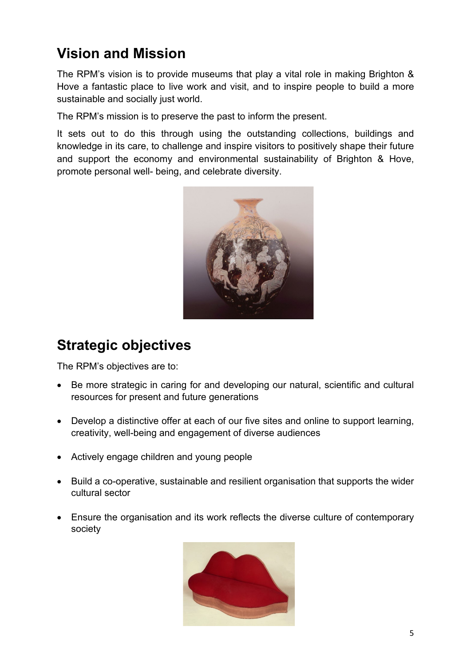### **Vision and Mission**

The RPM's vision is to provide museums that play a vital role in making Brighton & Hove a fantastic place to live work and visit, and to inspire people to build a more sustainable and socially just world.

The RPM's mission is to preserve the past to inform the present.

It sets out to do this through using the outstanding collections, buildings and knowledge in its care, to challenge and inspire visitors to positively shape their future and support the economy and environmental sustainability of Brighton & Hove, promote personal well- being, and celebrate diversity.



### **Strategic objectives**

The RPM's objectives are to:

- Be more strategic in caring for and developing our natural, scientific and cultural resources for present and future generations
- Develop a distinctive offer at each of our five sites and online to support learning, creativity, well-being and engagement of diverse audiences
- Actively engage children and young people
- Build a co-operative, sustainable and resilient organisation that supports the wider cultural sector
- Ensure the organisation and its work reflects the diverse culture of contemporary society

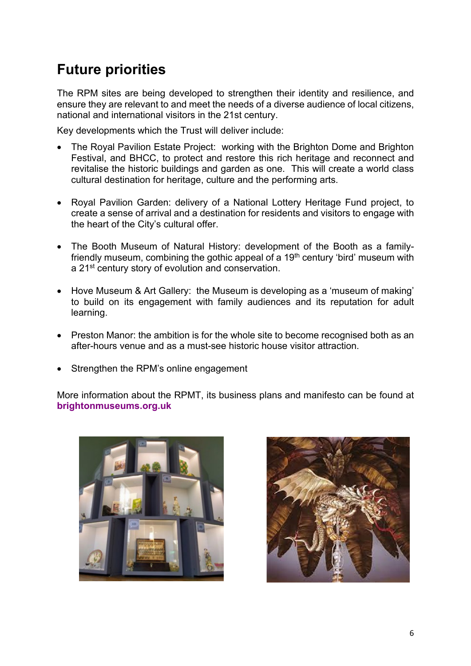### **Future priorities**

The RPM sites are being developed to strengthen their identity and resilience, and ensure they are relevant to and meet the needs of a diverse audience of local citizens, national and international visitors in the 21st century.

Key developments which the Trust will deliver include:

- The Royal Pavilion Estate Project: working with the Brighton Dome and Brighton Festival, and BHCC, to protect and restore this rich heritage and reconnect and revitalise the historic buildings and garden as one. This will create a world class cultural destination for heritage, culture and the performing arts.
- Royal Pavilion Garden: delivery of a National Lottery Heritage Fund project, to create a sense of arrival and a destination for residents and visitors to engage with the heart of the City's cultural offer.
- The Booth Museum of Natural History: development of the Booth as a familyfriendly museum, combining the gothic appeal of a 19<sup>th</sup> century 'bird' museum with a 21st century story of evolution and conservation.
- Hove Museum & Art Gallery: the Museum is developing as a 'museum of making' to build on its engagement with family audiences and its reputation for adult learning.
- Preston Manor: the ambition is for the whole site to become recognised both as an after-hours venue and as a must-see historic house visitor attraction.
- Strengthen the RPM's online engagement

More information about the RPMT, its business plans and manifesto can be found at **[brightonmuseums.org.uk](http://brightonmuseums.org.uk/)**



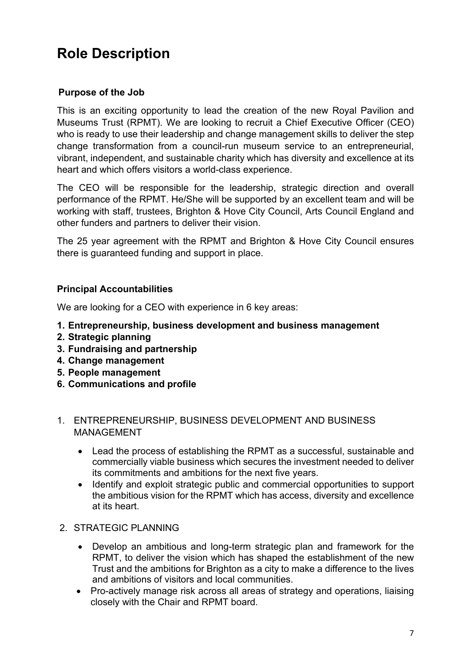### **Role Description**

#### **Purpose of the Job**

This is an exciting opportunity to lead the creation of the new Royal Pavilion and Museums Trust (RPMT). We are looking to recruit a Chief Executive Officer (CEO) who is ready to use their leadership and change management skills to deliver the step change transformation from a council-run museum service to an entrepreneurial, vibrant, independent, and sustainable charity which has diversity and excellence at its heart and which offers visitors a world-class experience.

The CEO will be responsible for the leadership, strategic direction and overall performance of the RPMT. He/She will be supported by an excellent team and will be working with staff, trustees, Brighton & Hove City Council, Arts Council England and other funders and partners to deliver their vision.

The 25 year agreement with the RPMT and Brighton & Hove City Council ensures there is guaranteed funding and support in place.

#### **Principal Accountabilities**

We are looking for a CEO with experience in 6 key areas:

- **1. Entrepreneurship, business development and business management**
- **2. Strategic planning**
- **3. Fundraising and partnership**
- **4. Change management**
- **5. People management**
- **6. Communications and profile**
- 1. ENTREPRENEURSHIP, BUSINESS DEVELOPMENT AND BUSINESS MANAGEMENT
	- Lead the process of establishing the RPMT as a successful, sustainable and commercially viable business which secures the investment needed to deliver its commitments and ambitions for the next five years.
	- Identify and exploit strategic public and commercial opportunities to support the ambitious vision for the RPMT which has access, diversity and excellence at its heart.
- 2. STRATEGIC PLANNING
	- Develop an ambitious and long-term strategic plan and framework for the RPMT, to deliver the vision which has shaped the establishment of the new Trust and the ambitions for Brighton as a city to make a difference to the lives and ambitions of visitors and local communities.
	- Pro-actively manage risk across all areas of strategy and operations, liaising closely with the Chair and RPMT board.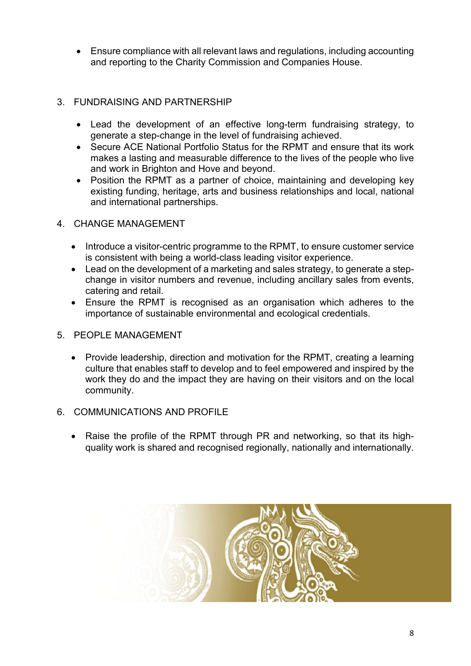• Ensure compliance with all relevant laws and regulations, including accounting and reporting to the Charity Commission and Companies House.

#### 3. FUNDRAISING AND PARTNERSHIP

- Lead the development of an effective long-term fundraising strategy, to generate a step-change in the level of fundraising achieved.
- Secure ACE National Portfolio Status for the RPMT and ensure that its work makes a lasting and measurable difference to the lives of the people who live and work in Brighton and Hove and beyond.
- Position the RPMT as a partner of choice, maintaining and developing key existing funding, heritage, arts and business relationships and local, national and international partnerships.
- 4. CHANGE MANAGEMENT
	- Introduce a visitor-centric programme to the RPMT, to ensure customer service is consistent with being a world-class leading visitor experience.
	- Lead on the development of a marketing and sales strategy, to generate a stepchange in visitor numbers and revenue, including ancillary sales from events, catering and retail.
	- Ensure the RPMT is recognised as an organisation which adheres to the importance of sustainable environmental and ecological credentials.
- 5. PEOPLE MANAGEMENT
	- Provide leadership, direction and motivation for the RPMT, creating a learning culture that enables staff to develop and to feel empowered and inspired by the work they do and the impact they are having on their visitors and on the local community.
- 6. COMMUNICATIONS AND PROFILE
	- Raise the profile of the RPMT through PR and networking, so that its highquality work is shared and recognised regionally, nationally and internationally.

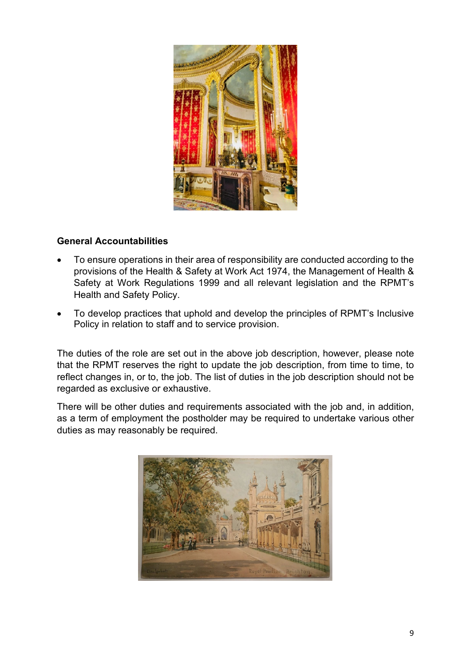

#### **General Accountabilities**

- To ensure operations in their area of responsibility are conducted according to the provisions of the Health & Safety at Work Act 1974, the Management of Health & Safety at Work Regulations 1999 and all relevant legislation and the RPMT's Health and Safety Policy.
- To develop practices that uphold and develop the principles of RPMT's Inclusive Policy in relation to staff and to service provision.

The duties of the role are set out in the above job description, however, please note that the RPMT reserves the right to update the job description, from time to time, to reflect changes in, or to, the job. The list of duties in the job description should not be regarded as exclusive or exhaustive.

There will be other duties and requirements associated with the job and, in addition, as a term of employment the postholder may be required to undertake various other duties as may reasonably be required.

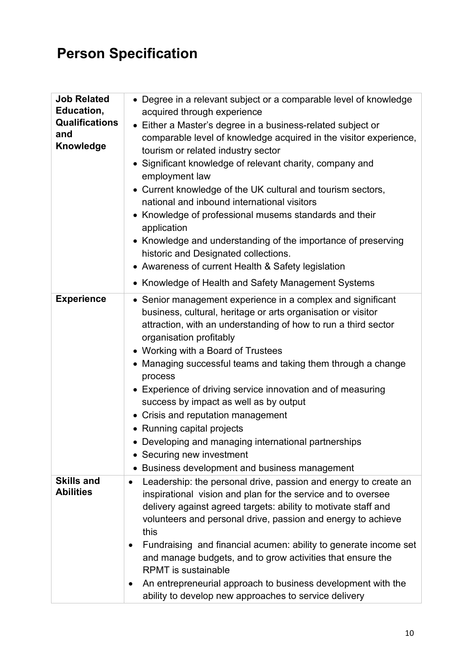### **Person Specification**

| <b>Job Related</b><br>Education,<br>Qualifications<br>and<br>Knowledge | • Degree in a relevant subject or a comparable level of knowledge<br>acquired through experience<br>• Either a Master's degree in a business-related subject or<br>comparable level of knowledge acquired in the visitor experience,<br>tourism or related industry sector<br>Significant knowledge of relevant charity, company and<br>employment law<br>• Current knowledge of the UK cultural and tourism sectors,<br>national and inbound international visitors<br>• Knowledge of professional musems standards and their<br>application<br>• Knowledge and understanding of the importance of preserving<br>historic and Designated collections.<br>• Awareness of current Health & Safety legislation<br>• Knowledge of Health and Safety Management Systems |
|------------------------------------------------------------------------|---------------------------------------------------------------------------------------------------------------------------------------------------------------------------------------------------------------------------------------------------------------------------------------------------------------------------------------------------------------------------------------------------------------------------------------------------------------------------------------------------------------------------------------------------------------------------------------------------------------------------------------------------------------------------------------------------------------------------------------------------------------------|
| <b>Experience</b>                                                      | • Senior management experience in a complex and significant<br>business, cultural, heritage or arts organisation or visitor<br>attraction, with an understanding of how to run a third sector<br>organisation profitably<br>• Working with a Board of Trustees<br>• Managing successful teams and taking them through a change<br>process<br>• Experience of driving service innovation and of measuring<br>success by impact as well as by output<br>• Crisis and reputation management<br>• Running capital projects<br>• Developing and managing international partnerships<br>• Securing new investment<br>• Business development and business management                                                                                                       |
| <b>Skills and</b><br><b>Abilities</b>                                  | Leadership: the personal drive, passion and energy to create an<br>inspirational vision and plan for the service and to oversee<br>delivery against agreed targets: ability to motivate staff and<br>volunteers and personal drive, passion and energy to achieve<br>this<br>Fundraising and financial acumen: ability to generate income set<br>٠<br>and manage budgets, and to grow activities that ensure the<br><b>RPMT</b> is sustainable<br>An entrepreneurial approach to business development with the<br>٠<br>ability to develop new approaches to service delivery                                                                                                                                                                                        |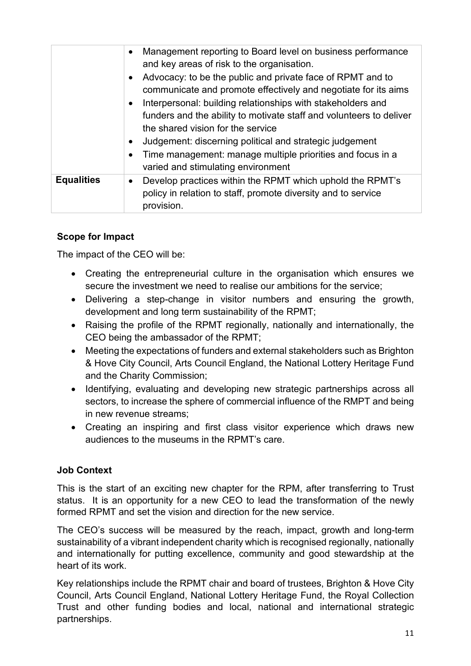|                   | Management reporting to Board level on business performance<br>$\bullet$<br>and key areas of risk to the organisation.                                                                                                |
|-------------------|-----------------------------------------------------------------------------------------------------------------------------------------------------------------------------------------------------------------------|
|                   | Advocacy: to be the public and private face of RPMT and to<br>$\bullet$<br>communicate and promote effectively and negotiate for its aims<br>Interpersonal: building relationships with stakeholders and<br>$\bullet$ |
|                   | funders and the ability to motivate staff and volunteers to deliver<br>the shared vision for the service                                                                                                              |
|                   | Judgement: discerning political and strategic judgement<br>$\bullet$<br>Time management: manage multiple priorities and focus in a<br>$\bullet$<br>varied and stimulating environment                                 |
| <b>Equalities</b> | Develop practices within the RPMT which uphold the RPMT's<br>$\bullet$<br>policy in relation to staff, promote diversity and to service<br>provision.                                                                 |

#### **Scope for Impact**

The impact of the CEO will be:

- Creating the entrepreneurial culture in the organisation which ensures we secure the investment we need to realise our ambitions for the service;
- Delivering a step-change in visitor numbers and ensuring the growth, development and long term sustainability of the RPMT;
- Raising the profile of the RPMT regionally, nationally and internationally, the CEO being the ambassador of the RPMT;
- Meeting the expectations of funders and external stakeholders such as Brighton & Hove City Council, Arts Council England, the National Lottery Heritage Fund and the Charity Commission;
- Identifying, evaluating and developing new strategic partnerships across all sectors, to increase the sphere of commercial influence of the RMPT and being in new revenue streams;
- Creating an inspiring and first class visitor experience which draws new audiences to the museums in the RPMT's care.

#### **Job Context**

This is the start of an exciting new chapter for the RPM, after transferring to Trust status. It is an opportunity for a new CEO to lead the transformation of the newly formed RPMT and set the vision and direction for the new service.

The CEO's success will be measured by the reach, impact, growth and long-term sustainability of a vibrant independent charity which is recognised regionally, nationally and internationally for putting excellence, community and good stewardship at the heart of its work.

Key relationships include the RPMT chair and board of trustees, Brighton & Hove City Council, Arts Council England, National Lottery Heritage Fund, the Royal Collection Trust and other funding bodies and local, national and international strategic partnerships.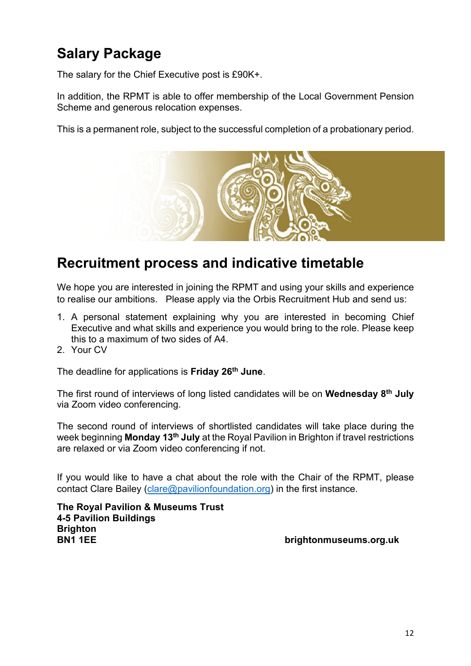### **Salary Package**

The salary for the Chief Executive post is £90K+.

In addition, the RPMT is able to offer membership of the Local Government Pension Scheme and generous relocation expenses.

This is a permanent role, subject to the successful completion of a probationary period.



### **Recruitment process and indicative timetable**

We hope you are interested in joining the RPMT and using your skills and experience to realise our ambitions. Please apply via the Orbis Recruitment Hub and send us:

- 1. A personal statement explaining why you are interested in becoming Chief Executive and what skills and experience you would bring to the role. Please keep this to a maximum of two sides of A4.
- 2. Your CV

The deadline for applications is **Friday 26th June**.

The first round of interviews of long listed candidates will be on **Wednesday 8th July** via Zoom video conferencing.

The second round of interviews of shortlisted candidates will take place during the week beginning **Monday 13th July** at the Royal Pavilion in Brighton if travel restrictions are relaxed or via Zoom video conferencing if not.

If you would like to have a chat about the role with the Chair of the RPMT, please contact Clare Bailey [\(clare@pavilionfoundation.org\)](mailto:clare@pavilionfoundation.org) in the first instance.

**The Royal Pavilion & Museums Trust 4-5 Pavilion Buildings Brighton BN1 1EE brightonmuseums.org.uk**